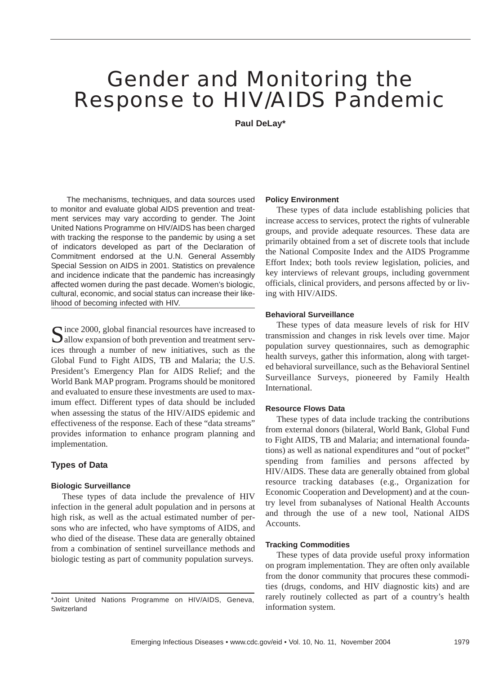# Gender and Monitoring the Response to HIV/AIDS Pandemic

**Paul DeLay\***

The mechanisms, techniques, and data sources used to monitor and evaluate global AIDS prevention and treatment services may vary according to gender. The Joint United Nations Programme on HIV/AIDS has been charged with tracking the response to the pandemic by using a set of indicators developed as part of the Declaration of Commitment endorsed at the U.N. General Assembly Special Session on AIDS in 2001. Statistics on prevalence and incidence indicate that the pandemic has increasingly affected women during the past decade. Women's biologic, cultural, economic, and social status can increase their likelihood of becoming infected with HIV.

 $\bigcap$  ince 2000, global financial resources have increased to  $\Box$  allow expansion of both prevention and treatment services through a number of new initiatives, such as the Global Fund to Fight AIDS, TB and Malaria; the U.S. President's Emergency Plan for AIDS Relief; and the World Bank MAP program. Programs should be monitored and evaluated to ensure these investments are used to maximum effect. Different types of data should be included when assessing the status of the HIV/AIDS epidemic and effectiveness of the response. Each of these "data streams" provides information to enhance program planning and implementation.

## **Types of Data**

#### **Biologic Surveillance**

These types of data include the prevalence of HIV infection in the general adult population and in persons at high risk, as well as the actual estimated number of persons who are infected, who have symptoms of AIDS, and who died of the disease. These data are generally obtained from a combination of sentinel surveillance methods and biologic testing as part of community population surveys.

#### **Policy Environment**

These types of data include establishing policies that increase access to services, protect the rights of vulnerable groups, and provide adequate resources. These data are primarily obtained from a set of discrete tools that include the National Composite Index and the AIDS Programme Effort Index; both tools review legislation, policies, and key interviews of relevant groups, including government officials, clinical providers, and persons affected by or living with HIV/AIDS.

## **Behavioral Surveillance**

These types of data measure levels of risk for HIV transmission and changes in risk levels over time. Major population survey questionnaires, such as demographic health surveys, gather this information, along with targeted behavioral surveillance, such as the Behavioral Sentinel Surveillance Surveys, pioneered by Family Health International.

## **Resource Flows Data**

These types of data include tracking the contributions from external donors (bilateral, World Bank, Global Fund to Fight AIDS, TB and Malaria; and international foundations) as well as national expenditures and "out of pocket" spending from families and persons affected by HIV/AIDS. These data are generally obtained from global resource tracking databases (e.g., Organization for Economic Cooperation and Development) and at the country level from subanalyses of National Health Accounts and through the use of a new tool, National AIDS Accounts.

## **Tracking Commodities**

These types of data provide useful proxy information on program implementation. They are often only available from the donor community that procures these commodities (drugs, condoms, and HIV diagnostic kits) and are rarely routinely collected as part of a country's health information system.

<sup>\*</sup>Joint United Nations Programme on HIV/AIDS, Geneva, **Switzerland**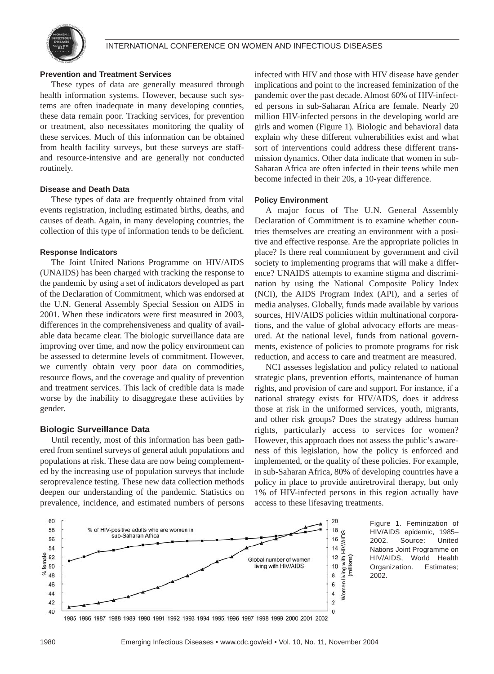

#### **Prevention and Treatment Services**

These types of data are generally measured through health information systems. However, because such systems are often inadequate in many developing counties, these data remain poor. Tracking services, for prevention or treatment, also necessitates monitoring the quality of these services. Much of this information can be obtained from health facility surveys, but these surveys are staffand resource-intensive and are generally not conducted routinely.

## **Disease and Death Data**

These types of data are frequently obtained from vital events registration, including estimated births, deaths, and causes of death. Again, in many developing countries, the collection of this type of information tends to be deficient.

#### **Response Indicators**

The Joint United Nations Programme on HIV/AIDS (UNAIDS) has been charged with tracking the response to the pandemic by using a set of indicators developed as part of the Declaration of Commitment, which was endorsed at the U.N. General Assembly Special Session on AIDS in 2001. When these indicators were first measured in 2003, differences in the comprehensiveness and quality of available data became clear. The biologic surveillance data are improving over time, and now the policy environment can be assessed to determine levels of commitment. However, we currently obtain very poor data on commodities, resource flows, and the coverage and quality of prevention and treatment services. This lack of credible data is made worse by the inability to disaggregate these activities by gender.

## **Biologic Surveillance Data**

Until recently, most of this information has been gathered from sentinel surveys of general adult populations and populations at risk. These data are now being complemented by the increasing use of population surveys that include seroprevalence testing. These new data collection methods deepen our understanding of the pandemic. Statistics on prevalence, incidence, and estimated numbers of persons

infected with HIV and those with HIV disease have gender implications and point to the increased feminization of the pandemic over the past decade. Almost 60% of HIV-infected persons in sub-Saharan Africa are female. Nearly 20 million HIV-infected persons in the developing world are girls and women (Figure 1). Biologic and behavioral data explain why these different vulnerabilities exist and what sort of interventions could address these different transmission dynamics. Other data indicate that women in sub-Saharan Africa are often infected in their teens while men become infected in their 20s, a 10-year difference.

## **Policy Environment**

A major focus of The U.N. General Assembly Declaration of Commitment is to examine whether countries themselves are creating an environment with a positive and effective response. Are the appropriate policies in place? Is there real commitment by government and civil society to implementing programs that will make a difference? UNAIDS attempts to examine stigma and discrimination by using the National Composite Policy Index (NCI), the AIDS Program Index (API), and a series of media analyses. Globally, funds made available by various sources, HIV/AIDS policies within multinational corporations, and the value of global advocacy efforts are measured. At the national level, funds from national governments, existence of policies to promote programs for risk reduction, and access to care and treatment are measured.

NCI assesses legislation and policy related to national strategic plans, prevention efforts, maintenance of human rights, and provision of care and support. For instance, if a national strategy exists for HIV/AIDS, does it address those at risk in the uniformed services, youth, migrants, and other risk groups? Does the strategy address human rights, particularly access to services for women? However, this approach does not assess the public's awareness of this legislation, how the policy is enforced and implemented, or the quality of these policies. For example, in sub-Saharan Africa, 80% of developing countries have a policy in place to provide antiretroviral therapy, but only 1% of HIV-infected persons in this region actually have access to these lifesaving treatments.



Figure 1. Feminization of HIV/AIDS epidemic, 1985– 2002. Source: United Nations Joint Programme on HIV/AIDS, World Health Organization. Estimates; 2002.

1985 1986 1987 1988 1989 1990 1991 1992 1993 1994 1995 1996 1997 1998 1999 2000 2001 2002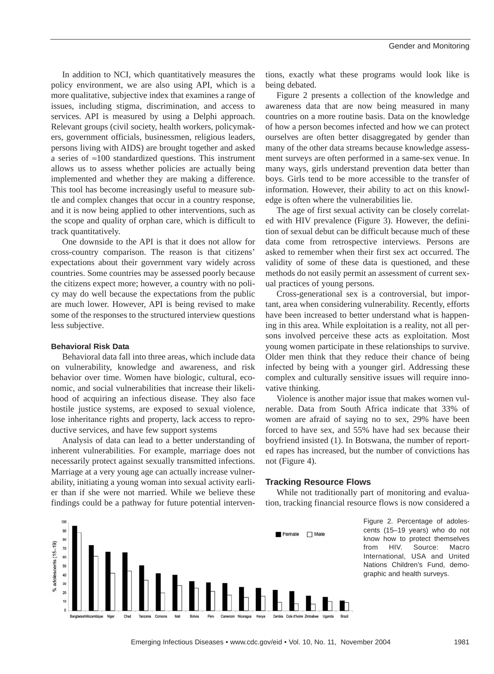In addition to NCI, which quantitatively measures the policy environment, we are also using API, which is a more qualitative, subjective index that examines a range of issues, including stigma, discrimination, and access to services. API is measured by using a Delphi approach. Relevant groups (civil society, health workers, policymakers, government officials, businessmen, religious leaders, persons living with AIDS) are brought together and asked a series of ≈100 standardized questions. This instrument allows us to assess whether policies are actually being implemented and whether they are making a difference. This tool has become increasingly useful to measure subtle and complex changes that occur in a country response, and it is now being applied to other interventions, such as the scope and quality of orphan care, which is difficult to track quantitatively.

One downside to the API is that it does not allow for cross-country comparison. The reason is that citizens' expectations about their government vary widely across countries. Some countries may be assessed poorly because the citizens expect more; however, a country with no policy may do well because the expectations from the public are much lower. However, API is being revised to make some of the responses to the structured interview questions less subjective.

## **Behavioral Risk Data**

Behavioral data fall into three areas, which include data on vulnerability, knowledge and awareness, and risk behavior over time. Women have biologic, cultural, economic, and social vulnerabilities that increase their likelihood of acquiring an infectious disease. They also face hostile justice systems, are exposed to sexual violence, lose inheritance rights and property, lack access to reproductive services, and have few support systems

Analysis of data can lead to a better understanding of inherent vulnerabilities. For example, marriage does not necessarily protect against sexually transmitted infections. Marriage at a very young age can actually increase vulnerability, initiating a young woman into sexual activity earlier than if she were not married. While we believe these findings could be a pathway for future potential interventions, exactly what these programs would look like is being debated.

Figure 2 presents a collection of the knowledge and awareness data that are now being measured in many countries on a more routine basis. Data on the knowledge of how a person becomes infected and how we can protect ourselves are often better disaggregated by gender than many of the other data streams because knowledge assessment surveys are often performed in a same-sex venue. In many ways, girls understand prevention data better than boys. Girls tend to be more accessible to the transfer of information. However, their ability to act on this knowledge is often where the vulnerabilities lie.

The age of first sexual activity can be closely correlated with HIV prevalence (Figure 3). However, the definition of sexual debut can be difficult because much of these data come from retrospective interviews. Persons are asked to remember when their first sex act occurred. The validity of some of these data is questioned, and these methods do not easily permit an assessment of current sexual practices of young persons.

Cross-generational sex is a controversial, but important, area when considering vulnerability. Recently, efforts have been increased to better understand what is happening in this area. While exploitation is a reality, not all persons involved perceive these acts as exploitation. Most young women participate in these relationships to survive. Older men think that they reduce their chance of being infected by being with a younger girl. Addressing these complex and culturally sensitive issues will require innovative thinking.

Violence is another major issue that makes women vulnerable. Data from South Africa indicate that 33% of women are afraid of saying no to sex, 29% have been forced to have sex, and 55% have had sex because their boyfriend insisted (1). In Botswana, the number of reported rapes has increased, but the number of convictions has not (Figure 4).

#### **Tracking Resource Flows**

While not traditionally part of monitoring and evaluation, tracking financial resource flows is now considered a



Figure 2. Percentage of adolescents (15–19 years) who do not know how to protect themselves from HIV. Source: Macro International, USA and United Nations Children's Fund, demographic and health surveys.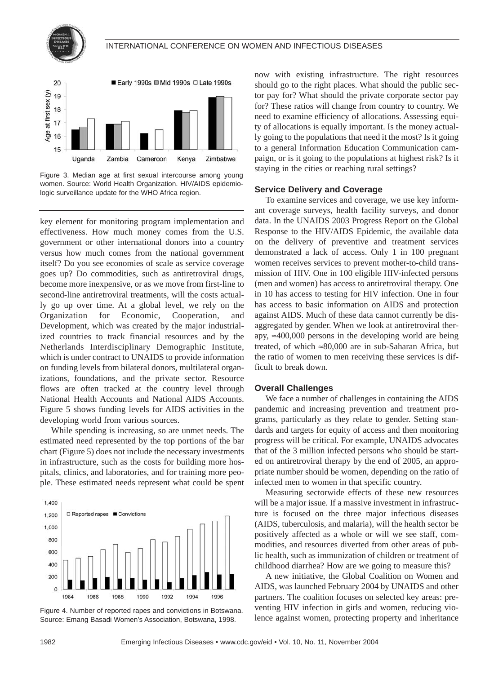



Figure 3. Median age at first sexual intercourse among young women. Source: World Health Organization. HIV/AIDS epidemiologic surveillance update for the WHO Africa region.

key element for monitoring program implementation and effectiveness. How much money comes from the U.S. government or other international donors into a country versus how much comes from the national government itself? Do you see economies of scale as service coverage goes up? Do commodities, such as antiretroviral drugs, become more inexpensive, or as we move from first-line to second-line antiretroviral treatments, will the costs actually go up over time. At a global level, we rely on the Organization for Economic, Cooperation, and Development, which was created by the major industrialized countries to track financial resources and by the Netherlands Interdisciplinary Demographic Institute, which is under contract to UNAIDS to provide information on funding levels from bilateral donors, multilateral organizations, foundations, and the private sector. Resource flows are often tracked at the country level through National Health Accounts and National AIDS Accounts. Figure 5 shows funding levels for AIDS activities in the developing world from various sources.

While spending is increasing, so are unmet needs. The estimated need represented by the top portions of the bar chart (Figure 5) does not include the necessary investments in infrastructure, such as the costs for building more hospitals, clinics, and laboratories, and for training more people. These estimated needs represent what could be spent



Figure 4. Number of reported rapes and convictions in Botswana. Source: Emang Basadi Women's Association, Botswana, 1998.

now with existing infrastructure. The right resources should go to the right places. What should the public sector pay for? What should the private corporate sector pay for? These ratios will change from country to country. We need to examine efficiency of allocations. Assessing equity of allocations is equally important. Is the money actually going to the populations that need it the most? Is it going to a general Information Education Communication campaign, or is it going to the populations at highest risk? Is it staying in the cities or reaching rural settings?

## **Service Delivery and Coverage**

To examine services and coverage, we use key informant coverage surveys, health facility surveys, and donor data. In the UNAIDS 2003 Progress Report on the Global Response to the HIV/AIDS Epidemic, the available data on the delivery of preventive and treatment services demonstrated a lack of access. Only 1 in 100 pregnant women receives services to prevent mother-to-child transmission of HIV. One in 100 eligible HIV-infected persons (men and women) has access to antiretroviral therapy. One in 10 has access to testing for HIV infection. One in four has access to basic information on AIDS and protection against AIDS. Much of these data cannot currently be disaggregated by gender. When we look at antiretroviral therapy,  $\approx$ 400,000 persons in the developing world are being treated, of which ≈80,000 are in sub-Saharan Africa, but the ratio of women to men receiving these services is difficult to break down.

## **Overall Challenges**

We face a number of challenges in containing the AIDS pandemic and increasing prevention and treatment programs, particularly as they relate to gender. Setting standards and targets for equity of access and then monitoring progress will be critical. For example, UNAIDS advocates that of the 3 million infected persons who should be started on antiretroviral therapy by the end of 2005, an appropriate number should be women, depending on the ratio of infected men to women in that specific country.

Measuring sectorwide effects of these new resources will be a major issue. If a massive investment in infrastructure is focused on the three major infectious diseases (AIDS, tuberculosis, and malaria), will the health sector be positively affected as a whole or will we see staff, commodities, and resources diverted from other areas of public health, such as immunization of children or treatment of childhood diarrhea? How are we going to measure this?

A new initiative, the Global Coalition on Women and AIDS, was launched February 2004 by UNAIDS and other partners. The coalition focuses on selected key areas: preventing HIV infection in girls and women, reducing violence against women, protecting property and inheritance